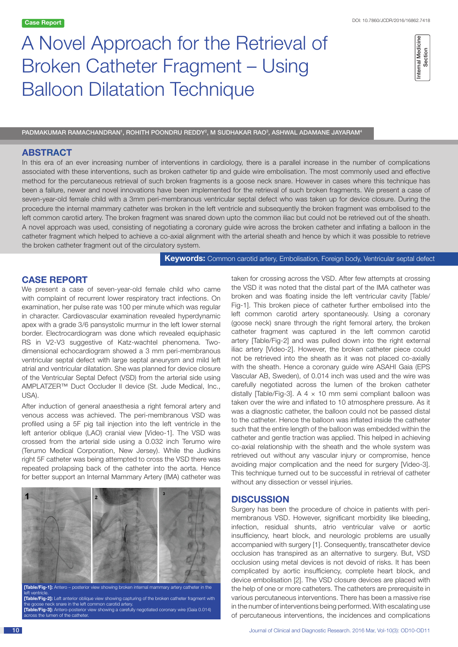# A Novel Approach for the Retrieval of Broken Catheter Fragment – Using Balloon Dilatation Technique

| ma,<br>ŭ. |
|-----------|
|-----------|

PADMAKUMAR RAMACHANDRAN', ROHITH POONDRU REDDY?, M SUDHAKAR RAO3, ASHWAL ADAMANE JAYARAM<sup>4</sup>

# **ABSTRACT**

In this era of an ever increasing number of interventions in cardiology, there is a parallel increase in the number of complications associated with these interventions, such as broken catheter tip and guide wire embolisation. The most commonly used and effective method for the percutaneous retrieval of such broken fragments is a goose neck snare. However in cases where this technique has been a failure, newer and novel innovations have been implemented for the retrieval of such broken fragments. We present a case of seven-year-old female child with a 3mm peri-membranous ventricular septal defect who was taken up for device closure. During the procedure the internal mammary catheter was broken in the left ventricle and subsequently the broken fragment was embolised to the left common carotid artery. The broken fragment was snared down upto the common iliac but could not be retrieved out of the sheath. A novel approach was used, consisting of negotiating a coronary guide wire across the broken catheter and inflating a balloon in the catheter fragment which helped to achieve a co-axial alignment with the arterial sheath and hence by which it was possible to retrieve the broken catheter fragment out of the circulatory system.

**Keywords:** Common carotid artery, Embolisation, Foreign body, Ventricular septal defect

## **CASE REPORT**

We present a case of seven-year-old female child who came with complaint of recurrent lower respiratory tract infections. On examination, her pulse rate was 100 per minute which was regular in character. Cardiovascular examination revealed hyperdynamic apex with a grade 3/6 pansystolic murmur in the left lower sternal border. Electrocardiogram was done which revealed equiphasic RS in V2-V3 suggestive of Katz-wachtel phenomena. Twodimensional echocardiogram showed a 3 mm peri-membranous ventricular septal defect with large septal aneurysm and mild left atrial and ventricular dilatation. She was planned for device closure of the Ventricular Septal Defect (VSD) from the arterial side using AMPLATZER™ Duct Occluder II device (St. Jude Medical, Inc., USA).

After induction of general anaesthesia a right femoral artery and venous access was achieved. The peri-membranous VSD was profiled using a 5F pig tail injection into the left ventricle in the left anterior oblique (LAO) cranial view [Video-1]. The VSD was crossed from the arterial side using a 0.032 inch Terumo wire (Terumo Medical Corporation, New Jersey). While the Judkins right 5F catheter was being attempted to cross the VSD there was repeated prolapsing back of the catheter into the aorta. Hence for better support an Internal Mammary Artery (IMA) catheter was



left ventricle. **[Table/Fig-2]:** Left anterior oblique view showing capturing of the broken catheter fragment with the goose neck snare in the left common carotid artery.

**[Table/Fig-3]:** Antero-posterior view showing a carefully negotiated coronary wire (Gaia 0.014) across the lumen of the catheter.

taken for crossing across the VSD. After few attempts at crossing the VSD it was noted that the distal part of the IMA catheter was broken and was floating inside the left ventricular cavity [Table/ Fig-1]. This broken piece of catheter further embolised into the left common carotid artery spontaneously. Using a coronary (goose neck) snare through the right femoral artery, the broken catheter fragment was captured in the left common carotid artery [Table/Fig-2] and was pulled down into the right external iliac artery [Video-2]. However, the broken catheter piece could not be retrieved into the sheath as it was not placed co-axially with the sheath. Hence a coronary guide wire ASAHI Gaia (EPS Vascular AB, Sweden), of 0.014 inch was used and the wire was carefully negotiated across the lumen of the broken catheter distally [Table/Fig-3]. A  $4 \times 10$  mm semi compliant balloon was taken over the wire and inflated to 10 atmosphere pressure. As it was a diagnostic catheter, the balloon could not be passed distal to the catheter. Hence the balloon was inflated inside the catheter such that the entire length of the balloon was embedded within the catheter and gentle traction was applied. This helped in achieving co-axial relationship with the sheath and the whole system was retrieved out without any vascular injury or compromise, hence avoiding major complication and the need for surgery [Video-3]. This technique turned out to be successful in retrieval of catheter without any dissection or vessel injuries. **Perfective and the interventions, the interventions, the incidence and complications, the incidences and complications, the incidences and complications, the incidence and complications of the method of the internal Medi** 

## **DISCUSSION**

Surgery has been the procedure of choice in patients with perimembranous VSD. However, significant morbidity like bleeding, infection, residual shunts, atrio ventricular valve or aortic insufficiency, heart block, and neurologic problems are usually accompanied with surgery [1]. Consequently, transcatheter device occlusion has transpired as an alternative to surgery. But, VSD occlusion using metal devices is not devoid of risks. It has been complicated by aortic insufficiency, complete heart block, and device embolisation [2]. The VSD closure devices are placed with the help of one or more catheters. The catheters are prerequisite in various percutaneous interventions. There has been a massive rise in the number of interventions being performed. With escalating use